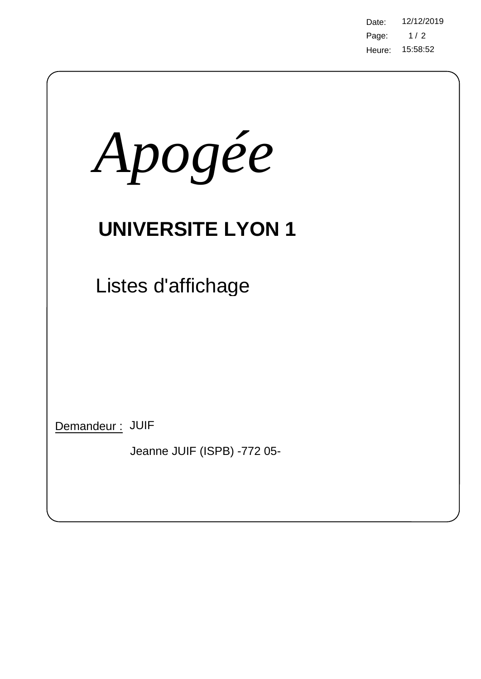Page: 15:58:52 Heure: Date: 12/12/2019  $1/2$ 

| Apogée                                         |
|------------------------------------------------|
| <b>UNIVERSITE LYON 1</b>                       |
| Listes d'affichage                             |
|                                                |
|                                                |
| Demandeur: JUIF<br>Jeanne JUIF (ISPB) -772 05- |